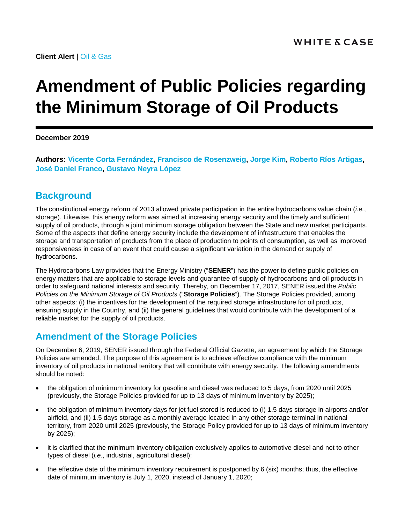**Client Alert** | [Oil & Gas](https://www.whitecase.com/law/industries/oil-gas)

## **Amendment of Public Policies regarding the Minimum Storage of Oil Products**

**December 2019**

**Authors: [Vicente Corta Fernández,](https://www.whitecase.com/people/vicente-corta-fernandez) [Francisco de Rosenzweig,](https://www.whitecase.com/people/francisco-de-rosenzweig) [Jorge Kim,](https://www.whitecase.com/people/jorge-kim) [Roberto Ríos Artigas,](https://www.whitecase.com/people/roberto-rios-artigas) [José Daniel Franco,](https://www.whitecase.com/people/jose-franco) [Gustavo Neyra](mailto:gustavo.neyra@whitecase.com) López**

## **Background**

The constitutional energy reform of 2013 allowed private participation in the entire hydrocarbons value chain (*i.e.*, storage). Likewise, this energy reform was aimed at increasing energy security and the timely and sufficient supply of oil products, through a joint minimum storage obligation between the State and new market participants. Some of the aspects that define energy security include the development of infrastructure that enables the storage and transportation of products from the place of production to points of consumption, as well as improved responsiveness in case of an event that could cause a significant variation in the demand or supply of hydrocarbons.

The Hydrocarbons Law provides that the Energy Ministry ("**SENER**") has the power to define public policies on energy matters that are applicable to storage levels and guarantee of supply of hydrocarbons and oil products in order to safeguard national interests and security. Thereby, on December 17, 2017, SENER issued the *Public Policies on the Minimum Storage of Oil Products* ("**Storage Policies**"). The Storage Policies provided, among other aspects: (i) the incentives for the development of the required storage infrastructure for oil products, ensuring supply in the Country, and (ii) the general guidelines that would contribute with the development of a reliable market for the supply of oil products.

## **Amendment of the Storage Policies**

On December 6, 2019, SENER issued through the Federal Official Gazette, an agreement by which the Storage Policies are amended. The purpose of this agreement is to achieve effective compliance with the minimum inventory of oil products in national territory that will contribute with energy security. The following amendments should be noted:

- the obligation of minimum inventory for gasoline and diesel was reduced to 5 days, from 2020 until 2025 (previously, the Storage Policies provided for up to 13 days of minimum inventory by 2025);
- the obligation of minimum inventory days for jet fuel stored is reduced to (i) 1.5 days storage in airports and/or airfield, and (ii) 1.5 days storage as a monthly average located in any other storage terminal in national territory, from 2020 until 2025 (previously, the Storage Policy provided for up to 13 days of minimum inventory by 2025);
- it is clarified that the minimum inventory obligation exclusively applies to automotive diesel and not to other types of diesel (*i.e*., industrial, agricultural diesel);
- the effective date of the minimum inventory requirement is postponed by 6 (six) months; thus, the effective date of minimum inventory is July 1, 2020, instead of January 1, 2020;